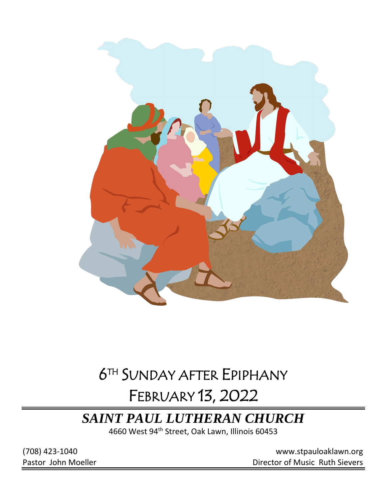

# 6 TH SUNDAY AFTER EPIPHANY

# FEBRUARY 13, 2022

# *SAINT PAUL LUTHERAN CHURCH*

4660 West 94<sup>th</sup> Street, Oak Lawn, Illinois 60453

(708) 423-1040 [www.stpauloaklawn.org](about:blank) Pastor John Moeller **Director of Music Ruth Sievers**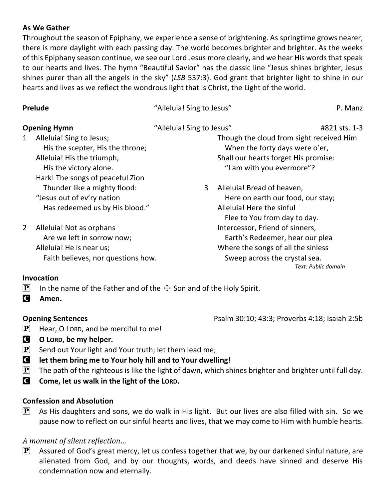### **As We Gather**

Throughout the season of Epiphany, we experience a sense of brightening. As springtime grows nearer, there is more daylight with each passing day. The world becomes brighter and brighter. As the weeks of this Epiphany season continue, we see our Lord Jesus more clearly, and we hear His words that speak to our hearts and lives. The hymn "Beautiful Savior" has the classic line "Jesus shines brighter, Jesus shines purer than all the angels in the sky" (*LSB* 537:3). God grant that brighter light to shine in our hearts and lives as we reflect the wondrous light that is Christ, the Light of the world.

| Prelude                                                                                                                                                                  | "Alleluia! Sing to Jesus"                                                                                                                 | P. Manz                                  |
|--------------------------------------------------------------------------------------------------------------------------------------------------------------------------|-------------------------------------------------------------------------------------------------------------------------------------------|------------------------------------------|
| <b>Opening Hymn</b>                                                                                                                                                      | "Alleluia! Sing to Jesus"<br>#821 sts. 1-3                                                                                                |                                          |
| Alleluia! Sing to Jesus;<br>$\mathbf{1}$<br>His the scepter, His the throne;<br>Alleluia! His the triumph,<br>His the victory alone.<br>Hark! The songs of peaceful Zion | When the forty days were o'er,<br>Shall our hearts forget His promise:<br>"I am with you evermore"?                                       | Though the cloud from sight received Him |
| Thunder like a mighty flood:<br>"Jesus out of ev'ry nation<br>Has redeemed us by His blood."                                                                             | 3<br>Alleluia! Bread of heaven,<br>Here on earth our food, our stay;<br>Alleluia! Here the sinful<br>Flee to You from day to day.         |                                          |
| Alleluia! Not as orphans<br>2<br>Are we left in sorrow now;<br>Alleluia! He is near us;<br>Faith believes, nor questions how.                                            | Intercessor, Friend of sinners,<br>Earth's Redeemer, hear our plea<br>Where the songs of all the sinless<br>Sweep across the crystal sea. | Text: Public domain                      |

### **Invocation**

- **P** In the name of the Father and of the  $\pm$  Son and of the Holy Spirit.
- C **Amen.**

**Opening Sentences Psalm 30:10; 43:3; Proverbs 4:18; Isaiah 2:5b** 

- $\mathbf{P}$  Hear, O LORD, and be merciful to me!
- C **O LORD, be my helper.**
- **P** Send out Your light and Your truth; let them lead me;
- C **let them bring me to Your holy hill and to Your dwelling!**
- **P** The path of the righteous is like the light of dawn, which shines brighter and brighter until full day.
- C **Come, let us walk in the light of the LORD.**

## **Confession and Absolution**

 $\left[\mathbf{P}\right]$  As His daughters and sons, we do walk in His light. But our lives are also filled with sin. So we pause now to reflect on our sinful hearts and lives, that we may come to Him with humble hearts.

## *A moment of silent reflection…*

 $\mathbf{P}$  Assured of God's great mercy, let us confess together that we, by our darkened sinful nature, are alienated from God, and by our thoughts, words, and deeds have sinned and deserve His condemnation now and eternally.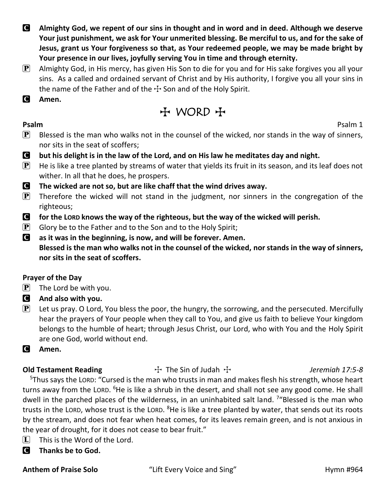- C **Almighty God, we repent of our sins in thought and in word and in deed. Although we deserve Your just punishment, we ask for Your unmerited blessing. Be merciful to us, and for the sake of Jesus, grant us Your forgiveness so that, as Your redeemed people, we may be made bright by Your presence in our lives, joyfully serving You in time and through eternity.**
- $\mathbf{P}$  Almighty God, in His mercy, has given His Son to die for you and for His sake forgives you all your sins. As a called and ordained servant of Christ and by His authority, I forgive you all your sins in the name of the Father and of the  $\pm$  Son and of the Holy Spirit.
- C **Amen.**

## $H$  WORD  $H$

**Psalm** Psalm 1

- $\mathbf{P}$  Blessed is the man who walks not in the counsel of the wicked, nor stands in the way of sinners, nor sits in the seat of scoffers;
- C **but his delight is in the law of the Lord, and on His law he meditates day and night.**
- $\mathbf{P}$  He is like a tree planted by streams of water that yields its fruit in its season, and its leaf does not wither. In all that he does, he prospers.
- C **The wicked are not so, but are like chaff that the wind drives away.**
- **P** Therefore the wicked will not stand in the judgment, nor sinners in the congregation of the righteous;
- C **for the LORD knows the way of the righteous, but the way of the wicked will perish.**
- $\mathbf{P}$  Glory be to the Father and to the Son and to the Holy Spirit;
- C **as it was in the beginning, is now, and will be forever. Amen. Blessed is the man who walks not in the counsel of the wicked, nor stands in the way of sinners, nor sits in the seat of scoffers.**

## **Prayer of the Day**

- $\left| \mathbf{P} \right|$  The Lord be with you.
- C **And also with you.**
- $\mathbf{P}$  Let us pray. O Lord, You bless the poor, the hungry, the sorrowing, and the persecuted. Mercifully hear the prayers of Your people when they call to You, and give us faith to believe Your kingdom belongs to the humble of heart; through Jesus Christ, our Lord, who with You and the Holy Spirit are one God, world without end.
- C **Amen.**

**Old Testament Reading** The Sin of Judah T *Jeremiah 17:5-8* <sup>5</sup>Thus says the LORD: "Cursed is the man who trusts in man and makes flesh his strength, whose heart turns away from the LORD. <sup>6</sup>He is like a shrub in the desert, and shall not see any good come. He shall dwell in the parched places of the wilderness, in an uninhabited salt land. <sup>7</sup> Blessed is the man who trusts in the LORD, whose trust is the LORD. <sup>8</sup>He is like a tree planted by water, that sends out its roots by the stream, and does not fear when heat comes, for its leaves remain green, and is not anxious in the year of drought, for it does not cease to bear fruit."

- $\boxed{\mathbf{L}}$  This is the Word of the Lord.
- C **Thanks be to God.**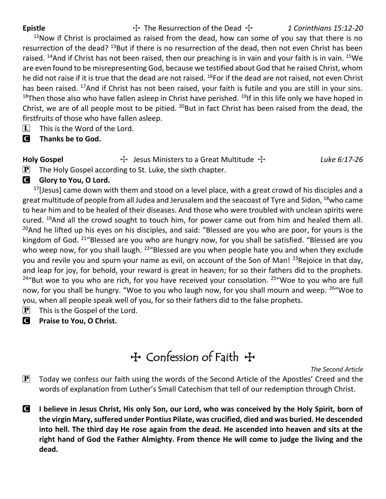Epistle **The Resurrection of the Dead**  $\ddot{\tau}$  1 Corinthians 15:12-20

 $12$ Now if Christ is proclaimed as raised from the dead, how can some of you say that there is no resurrection of the dead? <sup>13</sup>But if there is no resurrection of the dead, then not even Christ has been raised. <sup>14</sup>And if Christ has not been raised, then our preaching is in vain and your faith is in vain. <sup>15</sup>We are even found to be misrepresenting God, because we testified about God that he raised Christ, whom he did not raise if it is true that the dead are not raised. <sup>16</sup>For if the dead are not raised, not even Christ has been raised. <sup>17</sup>And if Christ has not been raised, your faith is futile and you are still in your sins. <sup>18</sup>Then those also who have fallen asleep in Christ have perished.  $^{19}$ If in this life only we have hoped in Christ, we are of all people most to be pitied.  $^{20}$ But in fact Christ has been raised from the dead, the firstfruits of those who have fallen asleep.

- $\Box$  This is the Word of the Lord.
- C **Thanks be to God.**

# **Holy Gospel** The Supersters to a Great Multitude The Luke 6:17-26

 $\mathbf{P}$  The Holy Gospel according to St. Luke, the sixth chapter.

**G** Glory to You, O Lord.

 $17$ [Jesus] came down with them and stood on a level place, with a great crowd of his disciples and a great multitude of people from all Judea and Jerusalem and the seacoast of Tyre and Sidon, <sup>18</sup>who came to hear him and to be healed of their diseases. And those who were troubled with unclean spirits were cured. <sup>19</sup>And all the crowd sought to touch him, for power came out from him and healed them all.  $20$ And he lifted up his eyes on his disciples, and said: "Blessed are you who are poor, for yours is the kingdom of God. <sup>21</sup> "Blessed are you who are hungry now, for you shall be satisfied. "Blessed are you who weep now, for you shall laugh. <sup>22</sup> Blessed are you when people hate you and when they exclude you and revile you and spurn your name as evil, on account of the Son of Man! <sup>23</sup>Rejoice in that day, and leap for joy, for behold, your reward is great in heaven; for so their fathers did to the prophets.  $24^{\prime\prime}$ But woe to you who are rich, for you have received your consolation.  $25^{\prime\prime}$ Woe to you who are full now, for you shall be hungry. "Woe to you who laugh now, for you shall mourn and weep. <sup>26"</sup>Woe to you, when all people speak well of you, for so their fathers did to the false prophets.

- $[P]$  This is the Gospel of the Lord.
- C **Praise to You, O Christ.**

# **T** Confession of Faith +

*The Second Article*

- $\mathbf{P}$  Today we confess our faith using the words of the Second Article of the Apostles' Creed and the words of explanation from Luther's Small Catechism that tell of our redemption through Christ.
- C **I believe in Jesus Christ, His only Son, our Lord, who was conceived by the Holy Spirit, born of the virgin Mary, suffered under Pontius Pilate, was crucified, died and was buried. He descended into hell. The third day He rose again from the dead. He ascended into heaven and sits at the right hand of God the Father Almighty. From thence He will come to judge the living and the dead.**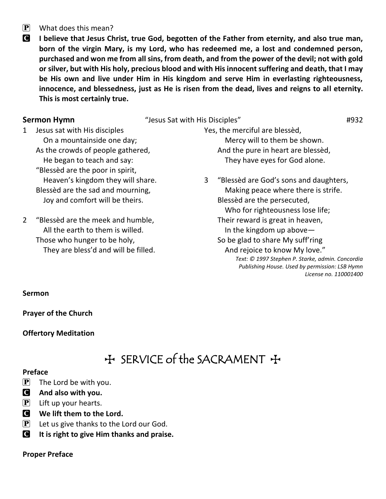### $\overline{P}$  What does this mean?

C **I believe that Jesus Christ, true God, begotten of the Father from eternity, and also true man, born of the virgin Mary, is my Lord, who has redeemed me, a lost and condemned person, purchased and won me from all sins, from death, and from the power of the devil; not with gold or silver, but with His holy, precious blood and with His innocent suffering and death, that I may be His own and live under Him in His kingdom and serve Him in everlasting righteousness, innocence, and blessedness, just as He is risen from the dead, lives and reigns to all eternity. This is most certainly true.**

#### **Sermon Hymn**  $\qquad$  "Jesus Sat with His Disciples"  $\qquad$   $\qquad$   $\qquad$   $\qquad$   $\qquad$   $\qquad$   $\qquad$   $\qquad$   $\qquad$   $\qquad$   $\qquad$   $\qquad$   $\qquad$   $\qquad$   $\qquad$   $\qquad$   $\qquad$   $\qquad$   $\qquad$   $\qquad$   $\qquad$   $\qquad$   $\qquad$   $\qquad$   $\qquad$   $\qquad$   $\qquad$   $\qquad$   $\q$

1 Jesus sat with His disciples On a mountainside one day; As the crowds of people gathered, He began to teach and say: "Blessèd are the poor in spirit, Heaven's kingdom they will share. Blessèd are the sad and mourning, Joy and comfort will be theirs.

2 "Blessèd are the meek and humble, All the earth to them is willed. Those who hunger to be holy, They are bless'd and will be filled. Yes, the merciful are blessèd, Mercy will to them be shown. And the pure in heart are blessèd, They have eyes for God alone.

3 "Blessèd are God's sons and daughters, Making peace where there is strife. Blessèd are the persecuted, Who for righteousness lose life; Their reward is great in heaven, In the kingdom up above— So be glad to share My suff'ring And rejoice to know My love." *Text: © 1997 Stephen P. Starke, admin. Concordia Publishing House. Used by permission: LSB Hymn License no. 110001400*

**Sermon**

**Prayer of the Church**

**Offertory Meditation**

## + SERVICE of the SACRAMENT +

### **Preface**

- $[P]$  The Lord be with you.
- C **And also with you.**
- $[P]$  Lift up your hearts.
- **C** We lift them to the Lord.
- $\left[ \mathbf{P} \right]$  Let us give thanks to the Lord our God.
- C **It is right to give Him thanks and praise.**

**Proper Preface**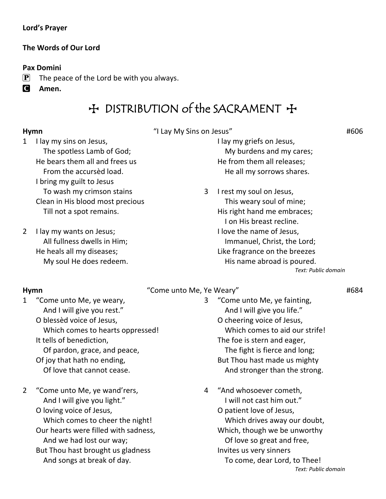### **Lord's Prayer**

### **The Words of Our Lord**

### **Pax Domini**

- $\mathbf{P}$  The peace of the Lord be with you always.
- C **Amen.**

## $H$  DISTRIBUTION of the SACRAMENT  $H$

**Hymn** #606 #606

1 I lay my sins on Jesus, The spotless Lamb of God; He bears them all and frees us From the accursèd load. I bring my guilt to Jesus To wash my crimson stains Clean in His blood most precious Till not a spot remains.

2 I lay my wants on Jesus; All fullness dwells in Him; He heals all my diseases; My soul He does redeem. I lay my griefs on Jesus, My burdens and my cares; He from them all releases; He all my sorrows shares.

3 I rest my soul on Jesus,

 This weary soul of mine; His right hand me embraces; I on His breast recline. I love the name of Jesus, Immanuel, Christ, the Lord; Like fragrance on the breezes His name abroad is poured. *Text: Public domain*

### **Hymn** "Come unto Me, Ye Weary" #684

1 "Come unto Me, ye weary, And I will give you rest."

> O blessèd voice of Jesus, Which comes to hearts oppressed! It tells of benediction, Of pardon, grace, and peace, Of joy that hath no ending, Of love that cannot cease.

- 2 "Come unto Me, ye wand'rers, And I will give you light."
	- O loving voice of Jesus, Which comes to cheer the night! Our hearts were filled with sadness, And we had lost our way; But Thou hast brought us gladness And songs at break of day.
- 3 "Come unto Me, ye fainting, And I will give you life." O cheering voice of Jesus, Which comes to aid our strife! The foe is stern and eager, The fight is fierce and long; But Thou hast made us mighty And stronger than the strong.
- 4 "And whosoever cometh, I will not cast him out." O patient love of Jesus, Which drives away our doubt, Which, though we be unworthy Of love so great and free, Invites us very sinners To come, dear Lord, to Thee! *Text: Public domain*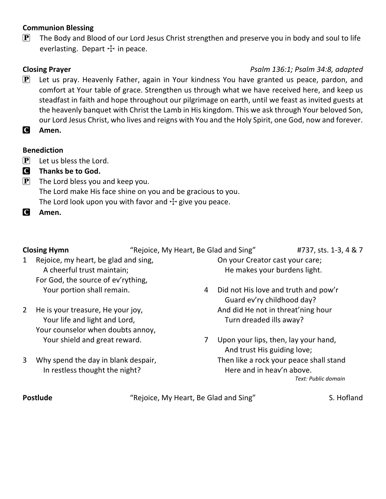### **Communion Blessing**

 $\mathbf{P}$  The Body and Blood of our Lord Jesus Christ strengthen and preserve you in body and soul to life everlasting. Depart  $+$  in peace.

### **Closing Prayer** *Psalm 136:1; Psalm 34:8, adapted*

- $\mathbf{P}$  Let us pray. Heavenly Father, again in Your kindness You have granted us peace, pardon, and comfort at Your table of grace. Strengthen us through what we have received here, and keep us steadfast in faith and hope throughout our pilgrimage on earth, until we feast as invited guests at the heavenly banquet with Christ the Lamb in His kingdom. This we ask through Your beloved Son, our Lord Jesus Christ, who lives and reigns with You and the Holy Spirit, one God, now and forever.
- C **Amen.**

### **Benediction**

- $\left| \mathbf{P} \right|$  Let us bless the Lord.
- C **Thanks be to God.**
- $\mathbf{P}$  The Lord bless you and keep you. The Lord make His face shine on you and be gracious to you. The Lord look upon you with favor and  $\pm$  give you peace.
- C **Amen.**

**Closing Hymn** "Rejoice, My Heart, Be Glad and Sing" #737, sts. 1-3, 4 & 7

- 1 Rejoice, my heart, be glad and sing, A cheerful trust maintain; For God, the source of ev'rything, Your portion shall remain.
- 2 He is your treasure, He your joy, Your life and light and Lord, Your counselor when doubts annoy, Your shield and great reward.
- 3 Why spend the day in blank despair, In restless thought the night?
- On your Creator cast your care; He makes your burdens light.
- 4 Did not His love and truth and pow'r Guard ev'ry childhood day? And did He not in threat'ning hour Turn dreaded ills away?
- 7 Upon your lips, then, lay your hand, And trust His guiding love; Then like a rock your peace shall stand Here and in heav'n above. *Text: Public domain*

**Postlude** The "Rejoice, My Heart, Be Glad and Sing" S. Hofland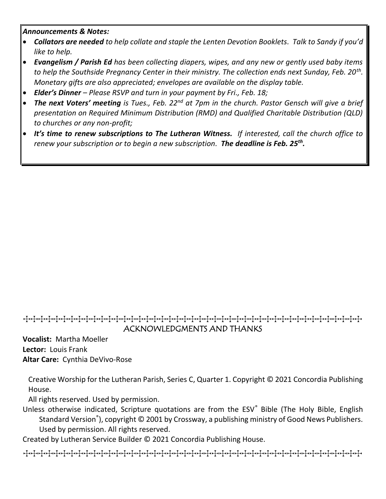### *Announcements & Notes:*

- *Collators are needed to help collate and staple the Lenten Devotion Booklets. Talk to Sandy if you'd like to help.*
- *Evangelism / Parish Ed has been collecting diapers, wipes, and any new or gently used baby items to help the Southside Pregnancy Center in their ministry. The collection ends next Sunday, Feb. 20th . Monetary gifts are also appreciated; envelopes are available on the display table.*
- *Elder's Dinner – Please RSVP and turn in your payment by Fri., Feb. 18;*
- *The next Voters' meeting is Tues., Feb. 22nd at 7pm in the church. Pastor Gensch will give a brief presentation on Required Minimum Distribution (RMD) and Qualified Charitable Distribution (QLD) to churches or any non-profit;*
- *It's time to renew subscriptions to The Lutheran Witness. If interested, call the church office to renew your subscription or to begin a new subscription. The deadline is Feb. 25th .*

## TTTTTTTTTTTTTTTTTTTTTTTTTTTTTTTTTTTTTTTTTTTTT ACKNOWLEDGMENTS AND THANKS

**Vocalist:** Martha Moeller **Lector:** Louis Frank **Altar Care:** Cynthia DeVivo-Rose

Creative Worship for the Lutheran Parish, Series C, Quarter 1. Copyright © 2021 Concordia Publishing House.

All rights reserved. Used by permission.

Unless otherwise indicated, Scripture quotations are from the ESV® Bible (The Holy Bible, English Standard Version<sup>®</sup>), copyright © 2001 by Crossway, a publishing ministry of Good News Publishers. Used by permission. All rights reserved.

Created by Lutheran Service Builder © 2021 Concordia Publishing House.

TTTTTTTTTTTTTTTTTTTTTTTTTTTTTTTTTTTTTTTTTTTTT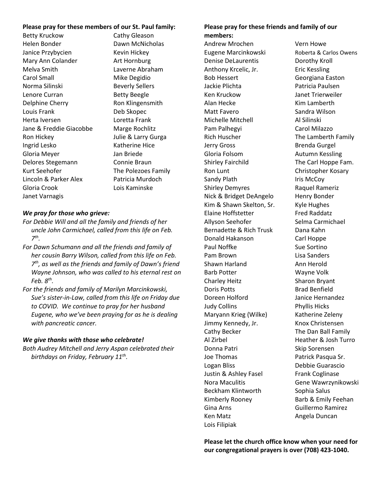#### **Please pray for these members of our St. Paul family:**

Betty Kruckow Cathy Gleason Helen Bonder Dawn McNicholas Janice Przybycien Kevin Hickey Mary Ann Colander **Art Hornburg** Melva Smith Laverne Abraham Carol Small Mike Degidio Norma Silinski<br>
Beverly Sellers Lenore Curran Betty Beegle Delphine Cherry Ron Klingensmith Louis Frank Deb Skopec Herta Iversen Loretta Frank Jane & Freddie Giacobbe Marge Rochlitz Ron Hickey Julie & Larry Gurga Ingrid Lesko Katherine Hice Gloria Meyer Jan Briede Delores Stegemann Connie Braun Kurt Seehofer The Polezoes Family Lincoln & Parker Alex Patricia Murdoch Gloria Crook Lois Kaminske Janet Varnagis

#### *We pray for those who grieve:*

- *For Debbie Will and all the family and friends of her uncle John Carmichael, called from this life on Feb. 7 th .*
- *For Dawn Schumann and all the friends and family of her cousin Barry Wilson, called from this life on Feb. 7 th, as well as the friends and family of Dawn's friend Wayne Johnson, who was called to his eternal rest on Feb. 8th .*
- *For the friends and family of Marilyn Marcinkowski, Sue's sister-in-Law, called from this life on Friday due to COVID. We continue to pray for her husband Eugene, who we've been praying for as he is dealing with pancreatic cancer.*

#### *We give thanks with those who celebrate!*

*Both Audrey Mitchell and Jerry Aspan celebrated their birthdays on Friday, February 11th .*

#### **Please pray for these friends and family of our members:**

Andrew Mrochen Vern Howe Eugene Marcinkowski Roberta & Carlos Owens Denise DeLaurentis **Dorothy Kroll** Anthony Krcelic, Jr. **Eric Kessling** Bob Hessert Georgiana Easton Jackie Plichta **Patricia Paulsen** Ken Kruckow Janet Trierweiler Alan Hecke Kim Lamberth Matt Favero **Sandra Wilson** Michelle Mitchell **Al Silinski** Pam Palhegyi **Carol Milazzo** Rich Huscher The Lamberth Family Jerry Gross **Brenda Gurgel** Gloria Folsom **Autumn Kessling** Shirley Fairchild The Carl Hoppe Fam. Ron Lunt **Christopher Kosary** Sandy Plath Iris McCoy Shirley Demyres Raquel Rameriz Nick & Bridget DeAngelo Henry Bonder Kim & Shawn Skelton, Sr. Kyle Hughes Elaine Hoffstetter Fred Raddatz Allyson Seehofer Selma Carmichael Bernadette & Rich Trusk Dana Kahn Donald Hakanson Carl Hoppe Paul Noffke Sue Sortino Pam Brown Lisa Sanders Shawn Harland **Ann Herold** Barb Potter **Wayne Volk** Charley Heitz Sharon Bryant Doris Potts **Brad Benfield** Doreen Holford Janice Hernandez Judy Collins Phyllis Hicks Maryann Krieg (Wilke) Katherine Zeleny Jimmy Kennedy, Jr. Knox Christensen Cathy Becker The Dan Ball Family Al Zirbel Heather & Josh Turro Donna Patri **National Skip Sorensen** Joe Thomas **Patrick Pasqua Sr.** Logan Bliss Debbie Guarascio Justin & Ashley Fasel Frank Coglinase Beckham Klintworth Sophia Salus Kimberly Rooney Barb & Emily Feehan Gina Arns Guillermo Ramirez Ken Matz **Angela Duncan** Lois Filipiak

Nora Maculitis Gene Wawrzynikowski

**Please let the church office know when your need for our congregational prayers is over (708) 423-1040.**